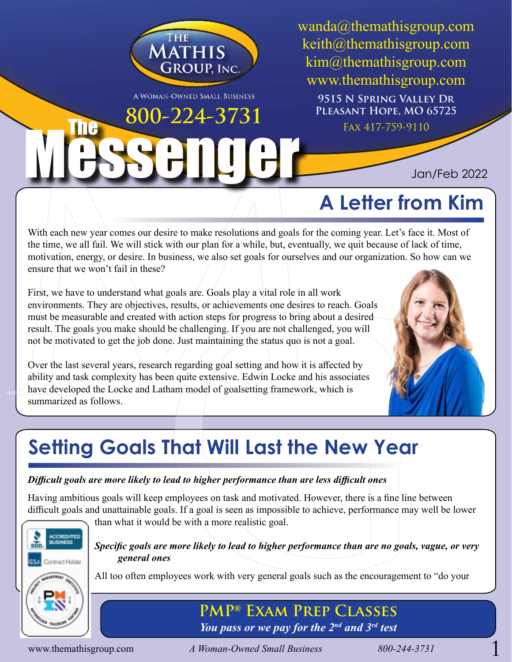

A WOMAN-OWNED SMALL BUSINESS

Messenger

wanda@themathisgroup.com keith@themathisgroup.com kim@themathisgroup.com www.themathisgroup.com **9515 N Spring Valley Dr Pleasant Hope, MO 65725 800–224–3731** PLEASANT HOPE, MO 6

Jan/Feb 2022

# **A Letter from Kim**

With each new year comes our desire to make resolutions and goals for the coming year. Let's face it. Most of the time, we all fail. We will stick with our plan for a while, but, eventually, we quit because of lack of time, motivation, energy, or desire. In business, we also set goals for ourselves and our organization. So how can we ensure that we won't fail in these?

**Example 18 and 18 and 18 and 18 and 18 and 18 and 18 and 18 and 18 and 18 and 18 and 18 and 18 and 18 and 18 and 18 and 18 and 18 and 18 and 18 and 18 and 18 and 18 and 18 and 18 and 18 and 18 and 18 and 18 and 18 and 18** First, we have to understand what goals are. Goals play a vital role in all work environments. They are objectives, results, or achievements one desires to reach. Goals must be measurable and created with action steps for progress to bring about a desired result. The goals you make should be challenging. If you are not challenged, you will not be motivated to get the job done. Just maintaining the status quo is not a goal.

Over the last several years, research regarding goal setting and how it is affected by ability and task complexity has been quite extensive. Edwin Locke and his associates have developed the Locke and Latham model of goalsetting framework, which is summarized as follows.



# **Setting Goals That Will Last the New Year**

## *Difficult goals are more likely to lead to higher performance than are less difficult ones*

Having ambitious goals will keep employees on task and motivated. However, there is a fine line between difficult goals and unattainable goals. If a goal is seen as impossible to achieve, performance may well be lower



than what it would be with a more realistic goal.

### *Specific goals are more likely to lead to higher performance than are no goals, vague, or very general ones*

All too often employees work with very general goals such as the encouragement to "do your

**PMP® Exam Prep Classes** *You pass or we pay for the 2nd and 3rd test*

The

www.themathisgroup.com *A Woman-Owned Small Business 800-244-3731* 1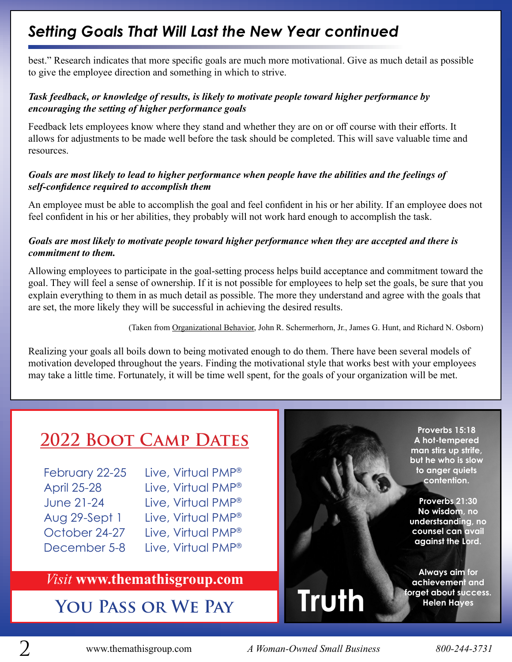## *Setting Goals That Will Last the New Year continued*

best." Research indicates that more specific goals are much more motivational. Give as much detail as possible to give the employee direction and something in which to strive.

### *Task feedback, or knowledge of results, is likely to motivate people toward higher performance by encouraging the setting of higher performance goals*

Feedback lets employees know where they stand and whether they are on or off course with their efforts. It allows for adjustments to be made well before the task should be completed. This will save valuable time and resources.

### *Goals are most likely to lead to higher performance when people have the abilities and the feelings of self-confidence required to accomplish them*

An employee must be able to accomplish the goal and feel confident in his or her ability. If an employee does not feel confident in his or her abilities, they probably will not work hard enough to accomplish the task.

### *Goals are most likely to motivate people toward higher performance when they are accepted and there is commitment to them.*

Allowing employees to participate in the goal-setting process helps build acceptance and commitment toward the goal. They will feel a sense of ownership. If it is not possible for employees to help set the goals, be sure that you explain everything to them in as much detail as possible. The more they understand and agree with the goals that are set, the more likely they will be successful in achieving the desired results.

(Taken from Organizational Behavior, John R. Schermerhorn, Jr., James G. Hunt, and Richard N. Osborn)

Realizing your goals all boils down to being motivated enough to do them. There have been several models of motivation developed throughout the years. Finding the motivational style that works best with your employees may take a little time. Fortunately, it will be time well spent, for the goals of your organization will be met.

# **2022 Boot Camp Dates**

| February 22-25     |
|--------------------|
| <b>April 25-28</b> |
| <b>June 21-24</b>  |
| Aug 29-Sept 1      |
| October 24-27      |
| December 5-8       |

Live, Virtual PMP<sup>®</sup> Live, Virtual PMP® Live, Virtual PMP® Live, Virtual PMP® Live, Virtual PMP® Live, Virtual PMP®

## *Visit* **www.themathisgroup.com**

## **You Pass or We Pay**

**Proverbs 15:18 A hot-tempered man stirs up strife, but he who is slow to anger quiets contention.**

**Proverbs 21:30 No wisdom, no understsanding, no counsel can avail against the Lord.**

**Always aim for achievement and forget about success. Helen Hayes**

2 www.themathisgroup.com *A Woman-Owned Small Business 800-244-3731*

**Truth**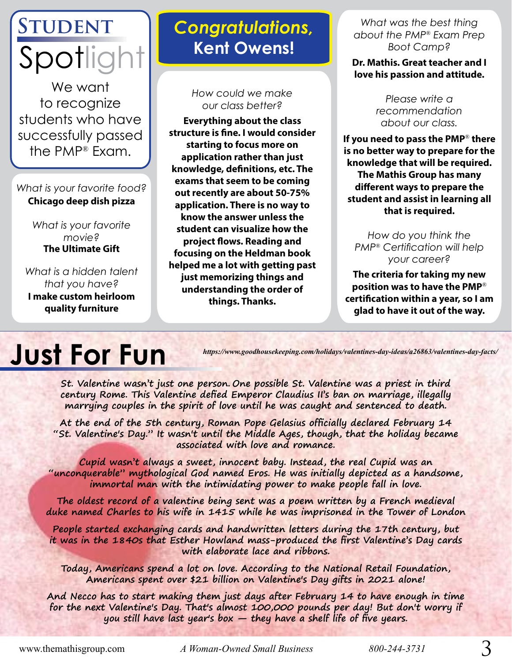# **Student** Spotlig

We want to recognize students who have successfully passed the PMP® Exam.

## *What is your favorite food?* **Chicago deep dish pizza**

*What is your favorite movie?* **The Ultimate Gift**

*What is a hidden talent that you have?* **I make custom heirloom quality furniture**

# *Congratulations,* **Kent Owens!**

### *How could we make our class better?*

**Everything about the class structure is fine. I would consider starting to focus more on application rather than just knowledge, definitions, etc. The exams that seem to be coming out recently are about 50-75% application. There is no way to know the answer unless the student can visualize how the project flows. Reading and focusing on the Heldman book helped me a lot with getting past just memorizing things and understanding the order of things. Thanks.**

*What was the best thing about the PMP*® *Exam Prep Boot Camp?*

**Dr. Mathis. Great teacher and I love his passion and attitude.** 

> *Please write a recommendation about our class.*

**If you need to pass the PMP**® **there is no better way to prepare for the knowledge that will be required. The Mathis Group has many different ways to prepare the student and assist in learning all that is required.**

*How do you think the PMP*® *Certification will help your career?*

**The criteria for taking my new position was to have the PMP**® **certification within a year, so I am glad to have it out of the way.**

# **Just For Fun**

*https://www.goodhousekeeping.com/holidays/valentines-day-ideas/a26863/valentines-day-facts/*

**St. Valentine wasn't just one person. One possible St. Valentine was a priest in third century Rome. This Valentine defied Emperor Claudius II's ban on marriage, illegally marrying couples in the spirit of love until he was caught and sentenced to death.**

**At the end of the 5th century, Roman Pope Gelasius officially declared February 14 "St. Valentine's Day." It wasn't until the Middle Ages, though, that the holiday became associated with love and romance.**

**Cupid wasn't always a sweet, innocent baby. Instead, the real Cupid was an "unconquerable" mythological God named Eros. He was initially depicted as a handsome, immortal man with the intimidating power to make people fall in love.**

**The oldest record of a valentine being sent was a poem written by a French medieval duke named Charles to his wife in 1415 while he was imprisoned in the Tower of London**

**People started exchanging cards and handwritten letters during the 17th century, but it was in the 1840s that Esther Howland mass-produced the first Valentine's Day cards with elaborate lace and ribbons.**

**Today, Americans spend a lot on love. According to the National Retail Foundation, Americans spent over \$21 billion on Valentine's Day gifts in 2021 alone!**

**And Necco has to start making them just days after February 14 to have enough in time for the next Valentine's Day. That's almost 100,000 pounds per day! But don't worry if you still have last year's box — they have a shelf life of five years.**